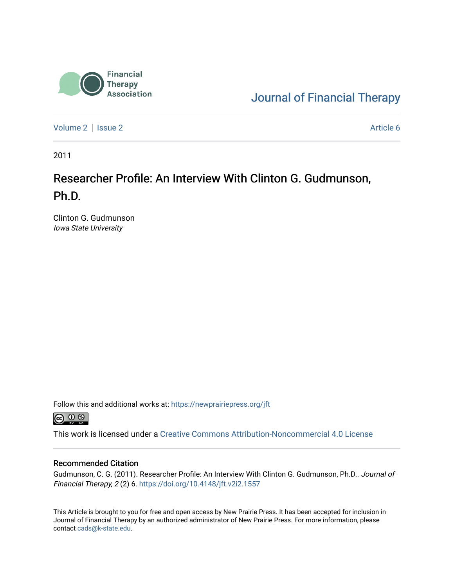

[Journal of Financial Therapy](https://newprairiepress.org/jft) 

[Volume 2](https://newprairiepress.org/jft/vol2) | [Issue 2](https://newprairiepress.org/jft/vol2/iss2) Article 6

2011

### Researcher Profile: An Interview With Clinton G. Gudmunson, Ph.D.

Clinton G. Gudmunson Iowa State University

Follow this and additional works at: [https://newprairiepress.org/jft](https://newprairiepress.org/jft?utm_source=newprairiepress.org%2Fjft%2Fvol2%2Fiss2%2F6&utm_medium=PDF&utm_campaign=PDFCoverPages)



This work is licensed under a [Creative Commons Attribution-Noncommercial 4.0 License](https://creativecommons.org/licenses/by-nc/4.0/)

#### Recommended Citation

Gudmunson, C. G. (2011). Researcher Profile: An Interview With Clinton G. Gudmunson, Ph.D.. Journal of Financial Therapy, 2 (2) 6. <https://doi.org/10.4148/jft.v2i2.1557>

This Article is brought to you for free and open access by New Prairie Press. It has been accepted for inclusion in Journal of Financial Therapy by an authorized administrator of New Prairie Press. For more information, please contact [cads@k-state.edu](mailto:cads@k-state.edu).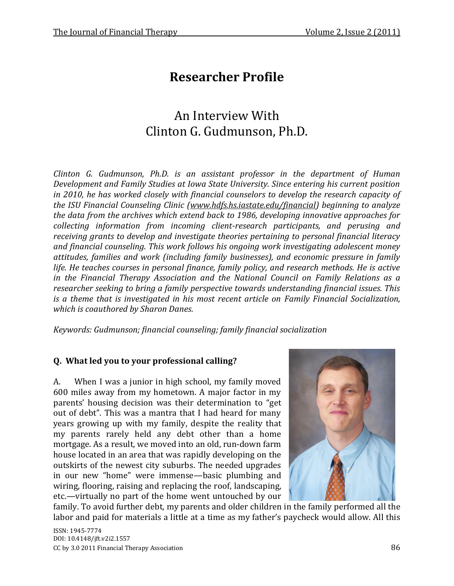# **Researcher Profile**

## An Interview With Clinton G. Gudmunson, Ph.D.

*Clinton G. Gudmunson, Ph.D. is an assistant professor in the department of Human Development and Family Studies at Iowa State University. Since entering his current position in 2010, he has worked closely with financial counselors to develop the research capacity of the ISU Financial Counseling Clinic [\(www.hdfs.hs.iastate.edu/financial\)](http://www.hdfs.hs.iastate.edu/financial) beginning to analyze the data from the archives which extend back to 1986, developing innovative approaches for collecting information from incoming client-research participants, and perusing and receiving grants to develop and investigate theories pertaining to personal financial literacy and financial counseling. This work follows his ongoing work investigating adolescent money attitudes, families and work (including family businesses), and economic pressure in family life. He teaches courses in personal finance, family policy, and research methods. He is active in the Financial Therapy Association and the National Council on Family Relations as a researcher seeking to bring a family perspective towards understanding financial issues. This is a theme that is investigated in his most recent article on Family Financial Socialization, which is coauthored by Sharon Danes.*

*Keywords: Gudmunson; financial counseling; family financial socialization*

#### **Q. What led you to your professional calling?**

A. When I was a junior in high school, my family moved 600 miles away from my hometown. A major factor in my parents' housing decision was their determination to "get out of debt". This was a mantra that I had heard for many years growing up with my family, despite the reality that my parents rarely held any debt other than a home mortgage. As a result, we moved into an old, run-down farm house located in an area that was rapidly developing on the outskirts of the newest city suburbs. The needed upgrades in our new "home" were immense—basic plumbing and wiring, flooring, raising and replacing the roof, landscaping, etc.—virtually no part of the home went untouched by our



family. To avoid further debt, my parents and older children in the family performed all the labor and paid for materials a little at a time as my father's paycheck would allow. All this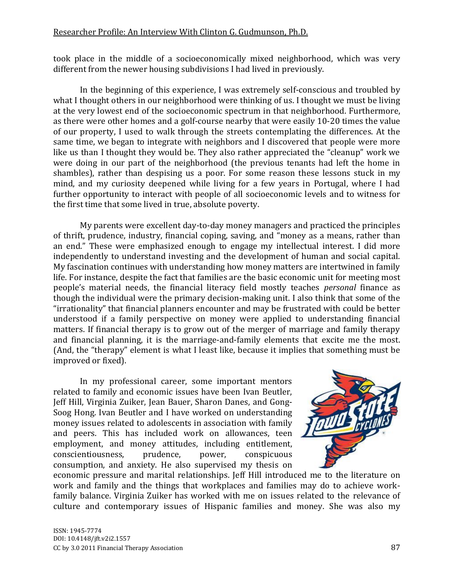took place in the middle of a socioeconomically mixed neighborhood, which was very different from the newer housing subdivisions I had lived in previously.

In the beginning of this experience, I was extremely self-conscious and troubled by what I thought others in our neighborhood were thinking of us. I thought we must be living at the very lowest end of the socioeconomic spectrum in that neighborhood. Furthermore, as there were other homes and a golf-course nearby that were easily 10-20 times the value of our property, I used to walk through the streets contemplating the differences. At the same time, we began to integrate with neighbors and I discovered that people were more like us than I thought they would be. They also rather appreciated the "cleanup" work we were doing in our part of the neighborhood (the previous tenants had left the home in shambles), rather than despising us a poor. For some reason these lessons stuck in my mind, and my curiosity deepened while living for a few years in Portugal, where I had further opportunity to interact with people of all socioeconomic levels and to witness for the first time that some lived in true, absolute poverty.

My parents were excellent day-to-day money managers and practiced the principles of thrift, prudence, industry, financial coping, saving, and "money as a means, rather than an end." These were emphasized enough to engage my intellectual interest. I did more independently to understand investing and the development of human and social capital. My fascination continues with understanding how money matters are intertwined in family life. For instance, despite the fact that families are the basic economic unit for meeting most people's material needs, the financial literacy field mostly teaches *personal* finance as though the individual were the primary decision-making unit. I also think that some of the "irrationality" that financial planners encounter and may be frustrated with could be better understood if a family perspective on money were applied to understanding financial matters. If financial therapy is to grow out of the merger of marriage and family therapy and financial planning, it is the marriage-and-family elements that excite me the most. (And, the "therapy" element is what I least like, because it implies that something must be improved or fixed).

In my professional career, some important mentors related to family and economic issues have been Ivan Beutler, Jeff Hill, Virginia Zuiker, Jean Bauer, Sharon Danes, and Gong-Soog Hong. Ivan Beutler and I have worked on understanding money issues related to adolescents in association with family and peers. This has included work on allowances, teen employment, and money attitudes, including entitlement, conscientiousness, prudence, power, conspicuous consumption, and anxiety. He also supervised my thesis on



economic pressure and marital relationships. Jeff Hill introduced me to the literature on work and family and the things that workplaces and families may do to achieve workfamily balance. Virginia Zuiker has worked with me on issues related to the relevance of culture and contemporary issues of Hispanic families and money. She was also my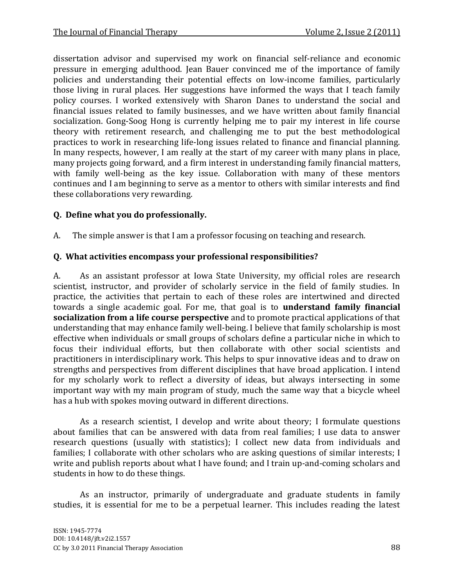dissertation advisor and supervised my work on financial self-reliance and economic pressure in emerging adulthood. Jean Bauer convinced me of the importance of family policies and understanding their potential effects on low-income families, particularly those living in rural places. Her suggestions have informed the ways that I teach family policy courses. I worked extensively with Sharon Danes to understand the social and financial issues related to family businesses, and we have written about family financial socialization. Gong-Soog Hong is currently helping me to pair my interest in life course theory with retirement research, and challenging me to put the best methodological practices to work in researching life-long issues related to finance and financial planning. In many respects, however, I am really at the start of my career with many plans in place, many projects going forward, and a firm interest in understanding family financial matters, with family well-being as the key issue. Collaboration with many of these mentors continues and I am beginning to serve as a mentor to others with similar interests and find these collaborations very rewarding.

#### **Q. Define what you do professionally.**

A. The simple answer is that I am a professor focusing on teaching and research.

#### **Q. What activities encompass your professional responsibilities?**

A. As an assistant professor at Iowa State University, my official roles are research scientist, instructor, and provider of scholarly service in the field of family studies. In practice, the activities that pertain to each of these roles are intertwined and directed towards a single academic goal. For me, that goal is to **understand family financial socialization from a life course perspective** and to promote practical applications of that understanding that may enhance family well-being. I believe that family scholarship is most effective when individuals or small groups of scholars define a particular niche in which to focus their individual efforts, but then collaborate with other social scientists and practitioners in interdisciplinary work. This helps to spur innovative ideas and to draw on strengths and perspectives from different disciplines that have broad application. I intend for my scholarly work to reflect a diversity of ideas, but always intersecting in some important way with my main program of study, much the same way that a bicycle wheel has a hub with spokes moving outward in different directions.

As a research scientist, I develop and write about theory; I formulate questions about families that can be answered with data from real families; I use data to answer research questions (usually with statistics); I collect new data from individuals and families; I collaborate with other scholars who are asking questions of similar interests; I write and publish reports about what I have found; and I train up-and-coming scholars and students in how to do these things.

As an instructor, primarily of undergraduate and graduate students in family studies, it is essential for me to be a perpetual learner. This includes reading the latest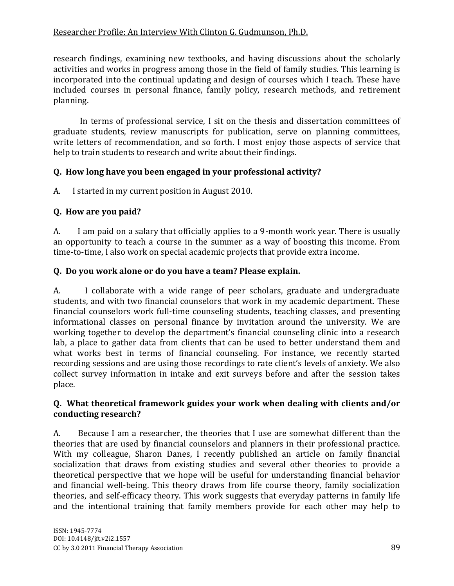#### Researcher Profile: An Interview With Clinton G. Gudmunson, Ph.D.

research findings, examining new textbooks, and having discussions about the scholarly activities and works in progress among those in the field of family studies. This learning is incorporated into the continual updating and design of courses which I teach. These have included courses in personal finance, family policy, research methods, and retirement planning.

In terms of professional service, I sit on the thesis and dissertation committees of graduate students, review manuscripts for publication, serve on planning committees, write letters of recommendation, and so forth. I most enjoy those aspects of service that help to train students to research and write about their findings.

#### **Q. How long have you been engaged in your professional activity?**

A. I started in my current position in August 2010.

#### **Q. How are you paid?**

A. I am paid on a salary that officially applies to a 9-month work year. There is usually an opportunity to teach a course in the summer as a way of boosting this income. From time-to-time, I also work on special academic projects that provide extra income.

#### **Q. Do you work alone or do you have a team? Please explain.**

A. I collaborate with a wide range of peer scholars, graduate and undergraduate students, and with two financial counselors that work in my academic department. These financial counselors work full-time counseling students, teaching classes, and presenting informational classes on personal finance by invitation around the university. We are working together to develop the department's financial counseling clinic into a research lab, a place to gather data from clients that can be used to better understand them and what works best in terms of financial counseling. For instance, we recently started recording sessions and are using those recordings to rate client's levels of anxiety. We also collect survey information in intake and exit surveys before and after the session takes place.

#### **Q. What theoretical framework guides your work when dealing with clients and/or conducting research?**

A. Because I am a researcher, the theories that I use are somewhat different than the theories that are used by financial counselors and planners in their professional practice. With my colleague, Sharon Danes, I recently published an article on family financial socialization that draws from existing studies and several other theories to provide a theoretical perspective that we hope will be useful for understanding financial behavior and financial well-being. This theory draws from life course theory, family socialization theories, and self-efficacy theory. This work suggests that everyday patterns in family life and the intentional training that family members provide for each other may help to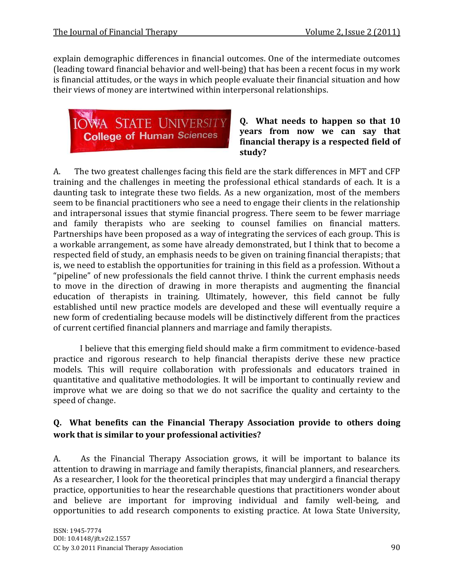explain demographic differences in financial outcomes. One of the intermediate outcomes (leading toward financial behavior and well-being) that has been a recent focus in my work is financial attitudes, or the ways in which people evaluate their financial situation and how their views of money are intertwined within interpersonal relationships.



**Q. What needs to happen so that 10 years from now we can say that financial therapy is a respected field of study?**

A. The two greatest challenges facing this field are the stark differences in MFT and CFP training and the challenges in meeting the professional ethical standards of each. It is a daunting task to integrate these two fields. As a new organization, most of the members seem to be financial practitioners who see a need to engage their clients in the relationship and intrapersonal issues that stymie financial progress. There seem to be fewer marriage and family therapists who are seeking to counsel families on financial matters. Partnerships have been proposed as a way of integrating the services of each group. This is a workable arrangement, as some have already demonstrated, but I think that to become a respected field of study, an emphasis needs to be given on training financial therapists; that is, we need to establish the opportunities for training in this field as a profession. Without a "pipeline" of new professionals the field cannot thrive. I think the current emphasis needs to move in the direction of drawing in more therapists and augmenting the financial education of therapists in training. Ultimately, however, this field cannot be fully established until new practice models are developed and these will eventually require a new form of credentialing because models will be distinctively different from the practices of current certified financial planners and marriage and family therapists.

I believe that this emerging field should make a firm commitment to evidence-based practice and rigorous research to help financial therapists derive these new practice models. This will require collaboration with professionals and educators trained in quantitative and qualitative methodologies. It will be important to continually review and improve what we are doing so that we do not sacrifice the quality and certainty to the speed of change.

### **Q. What benefits can the Financial Therapy Association provide to others doing work that is similar to your professional activities?**

A. As the Financial Therapy Association grows, it will be important to balance its attention to drawing in marriage and family therapists, financial planners, and researchers. As a researcher, I look for the theoretical principles that may undergird a financial therapy practice, opportunities to hear the researchable questions that practitioners wonder about and believe are important for improving individual and family well-being, and opportunities to add research components to existing practice. At Iowa State University,